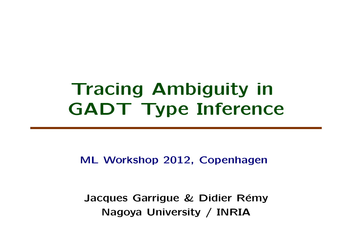# **Tracing Ambiguity in GADT Type Inference**

**ML Workshop 2012, Copenhagen**

**Jacques Garrigue & Didier Rémy Nagoya University / INRIA**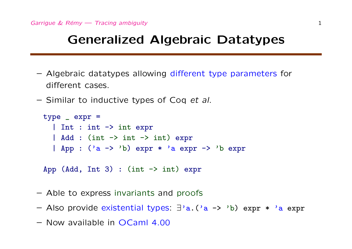## **Generalized Algebraic Datatypes**

- Algebraic datatypes allowing different type parameters for different cases.
- Similar to inductive types of Coq *et al*.

type \_ expr = | Int : int -> int expr  $\vert$  Add : (int  $\vert$  -> int  $\vert$  -> int) expr | App : ('a -> 'b) expr \* 'a expr -> 'b expr

App (Add, Int 3) : (int  $\rightarrow$  int) expr

- Able to express invariants and proofs
- Also provide existential types: *∃*'a.('a -> 'b) expr \* 'a expr
- Now available in OCaml 4.00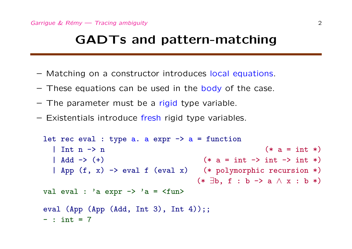#### **GADTs and pattern-matching**

- Matching on a constructor introduces local equations.
- $-$  These equations can be used in the body of the case.
- The parameter must be a rigid type variable.
- Existentials introduce fresh rigid type variables.

```
let rec eval : type a. a expr \rightarrow a = function
  \ln t n \rightarrow n (*)| Add -> (+) (* a = int -> int -> int *)
  | App (f, x) -> eval f (eval x) (* polymorphic recursion *)
                               (* ∃b, f : b -> a ∧ x : b *)
val eval : 'a expr \rightarrow 'a = \langlefun>
eval (App (App (Add, Int 3), Int 4));;
- : int = 7
```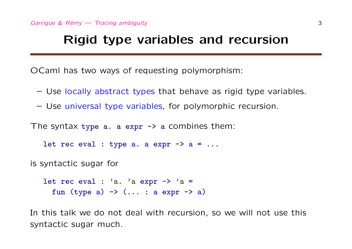#### **Rigid type variables and recursion**

OCaml has two ways of requesting polymorphism:

- Use locally abstract types that behave as rigid type variables.
- Use universal type variables, for polymorphic recursion.

The syntax type  $a. a$  expr  $\rightarrow a$  combines them:

let rec eval : type a. a expr  $\rightarrow$  a = ...

is syntactic sugar for

let rec eval : 'a. 'a expr  $\rightarrow$  'a = fun (type a)  $\rightarrow$  (... : a expr  $\rightarrow$  a)

In this talk we do not deal with recursion, so we will not use this syntactic sugar much.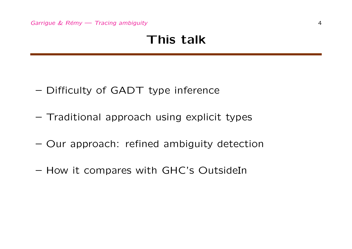## **This talk**

- Difficulty of GADT type inference
- Traditional approach using explicit types
- Our approach: refined ambiguity detection
- How it compares with GHC's OutsideIn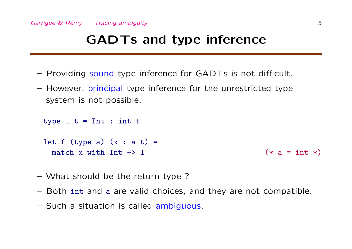#### **GADTs and type inference**

- Providing sound type inference for GADTs is not difficult.
- However, principal type inference for the unrestricted type system is not possible.

type  $t = Int : int t$ 

let  $f$  (type a)  $(x : a t) =$ match x with  $Int \rightarrow 1$  (\* a = int \*)

- What should be the return type ?
- Both int and a are valid choices, and they are not compatible.
- Such a situation is called ambiguous.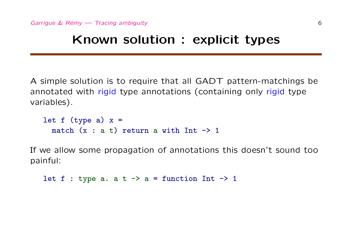## **Known solution : explicit types**

A simple solution is to require that all GADT pattern-matchings be annotated with rigid type annotations (containing only rigid type variables).

```
let f (type a) x =match (x : a t) return a with Int \rightarrow 1
```
If we allow some propagation of annotations this doesn't sound too painful:

let  $f : type a. a t \rightarrow a = function Int \rightarrow 1$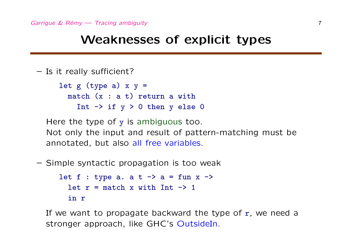#### **Weaknesses of explicit types**

```
– Is it really sufficient?
     let g (type a) x y =
       match (x : a t) return a with
          Int \rightarrow if y > 0 then y else 0
```
Here the type of y is ambiguous too. Not only the input and result of pattern-matching must be annotated, but also all free variables.

– Simple syntactic propagation is too weak

```
let f : type a. a t \rightarrow a = fun x \rightarrowlet r = match x with Int -> 1in r
```
If we want to propagate backward the type of  $r$ , we need a stronger approach, like GHC's OutsideIn.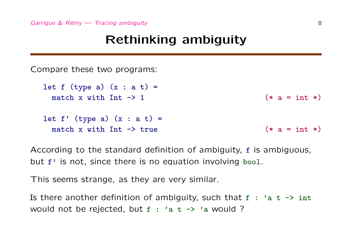## **Rethinking ambiguity**

Compare these two programs:

let  $f$  (type a)  $(x : a t) =$ match x with  $Int -> 1$  (\* a = int \*) let  $f'$  (type a)  $(x : a t) =$ match x with  $Int -\gt$  true  $(*)$   $(*)$   $(*)$   $(*)$ 

According to the standard definition of ambiguity, f is ambiguous, but f' is not, since there is no equation involving bool.

This seems strange, as they are very similar.

Is there another definition of ambiguity, such that  $f : 'a t \rightarrow int$ would not be rejected, but  $f : 'a t \rightarrow 'a$  would ?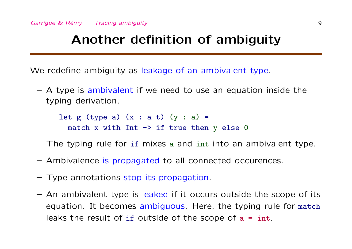#### **Another definition of ambiguity**

We redefine ambiguity as leakage of an ambivalent type.

 $-$  A type is ambivalent if we need to use an equation inside the typing derivation.

let g (type a)  $(x : a t)$   $(y : a) =$ match x with Int  $\rightarrow$  if true then y else 0

The typing rule for if mixes a and int into an ambivalent type.

- Ambivalence is propagated to all connected occurences.
- Type annotations stop its propagation.
- An ambivalent type is leaked if it occurs outside the scope of its equation. It becomes ambiguous. Here, the typing rule for match leaks the result of if outside of the scope of  $a = int$ .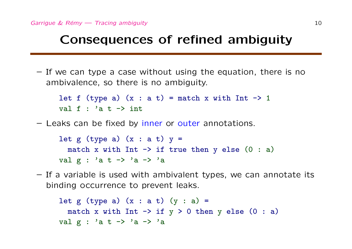## **Consequences of refined ambiguity**

– If we can type a case without using the equation, there is no ambivalence, so there is no ambiguity.

let f (type a)  $(x : a t) =$  match x with Int  $\rightarrow$  1 val  $f : 'a t \rightarrow int$ 

– Leaks can be fixed by inner or outer annotations.

let g (type a)  $(x : a t) y =$ match x with Int  $\rightarrow$  if true then y else (0 : a) val g : 'a t -> 'a -> 'a

– If a variable is used with ambivalent types, we can annotate its binding occurrence to prevent leaks.

```
let g (type a) (x : a t) (y : a) =match x with Int \rightarrow if y > 0 then y else (0 : a)
val g : 'a t -> 'a -> 'a
```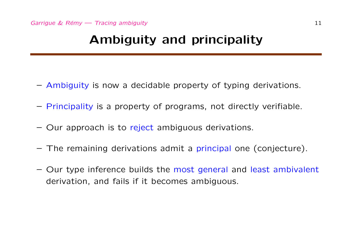## **Ambiguity and principality**

- Ambiguity is now a decidable property of typing derivations.
- Principality is a property of programs, not directly verifiable.
- Our approach is to reject ambiguous derivations.
- The remaining derivations admit a principal one (conjecture).
- Our type inference builds the most general and least ambivalent derivation, and fails if it becomes ambiguous.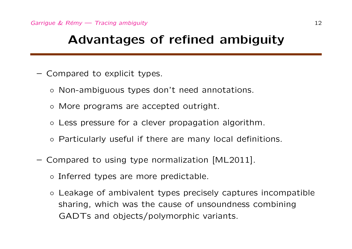#### **Advantages of refined ambiguity**

- Compared to explicit types.
	- *◦* Non-ambiguous types don't need annotations.
	- *◦* More programs are accepted outright.
	- *◦* Less pressure for a clever propagation algorithm.
	- *◦* Particularly useful if there are many local definitions.
- Compared to using type normalization [ML2011].
	- *◦* Inferred types are more predictable.
	- *◦* Leakage of ambivalent types precisely captures incompatible sharing, which was the cause of unsoundness combining GADTs and objects/polymorphic variants.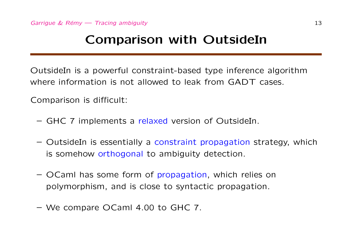## **Comparison with OutsideIn**

OutsideIn is a powerful constraint-based type inference algorithm where information is not allowed to leak from GADT cases.

Comparison is difficult:

- GHC 7 implements a relaxed version of OutsideIn.
- OutsideIn is essentially a constraint propagation strategy, which is somehow orthogonal to ambiguity detection.
- OCaml has some form of propagation, which relies on polymorphism, and is close to syntactic propagation.
- We compare OCaml 4.00 to GHC 7.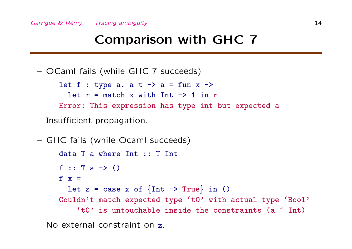## **Comparison with GHC 7**

– OCaml fails (while GHC 7 succeeds)

let  $f : type a. a t \rightarrow a = fun x \rightarrow$ let  $r =$  match x with Int  $\rightarrow$  1 in r Error: This expression has type int but expected a

Insufficient propagation.

```
– GHC fails (while Ocaml succeeds)
     data T a where Int :: T Int
     f :: T a \rightarrow ()
     f x =let z = \cose x of \{Int \rightarrow True\} in ()
     Couldn't match expected type 't0' with actual type 'Bool'
          't0' is untouchable inside the constraints (a \text{ }^{\sim} Int)
```
No external constraint on z.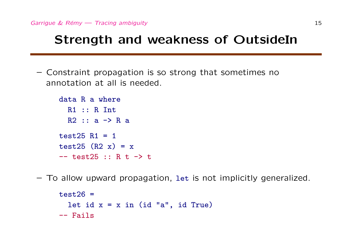## **Strength and weakness of OutsideIn**

– Constraint propagation is so strong that sometimes no annotation at all is needed.

```
data R a where
  R1 :: R Int
  R2 :: a \rightarrow R atest25 R1 = 1test25 (R2 x) = x-- test25 :: R t -> t
```
– To allow upward propagation, let is not implicitly generalized.

```
test26 =let id x = x in (id "a", id True)
-- Fails
```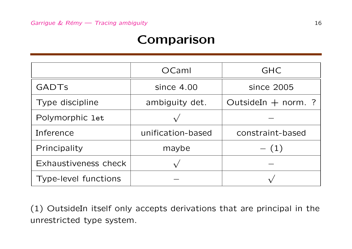## **Comparison**

|                      | OCaml             | <b>GHC</b>            |
|----------------------|-------------------|-----------------------|
| <b>GADTS</b>         | since $4.00$      | since 2005            |
| Type discipline      | ambiguity det.    | OutsideIn $+$ norm. ? |
| Polymorphic let      |                   |                       |
| Inference            | unification-based | constraint-based      |
| Principality         | maybe             | $- (1)$               |
| Exhaustiveness check |                   |                       |
| Type-level functions |                   |                       |

(1) OutsideIn itself only accepts derivations that are principal in the unrestricted type system.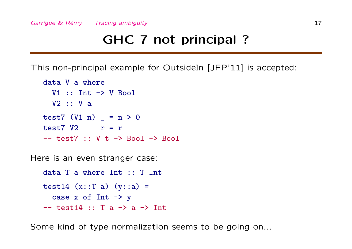## **GHC 7 not principal ?**

This non-principal example for OutsideIn [JFP'11] is accepted:

```
data V a where
  V1 :: Int \rightarrow V Bool
 V2 :: V a
test7 (V1 n) = n > 0test7 V2 r = r
-- test7 :: V + -> Bool -> Bool
```
Here is an even stranger case:

```
data T a where Int :: T Int
test14 (x::T a) (y::a) =case x of Int \rightarrow y-- test14 :: T a \rightarrow a \rightarrow Int
```
Some kind of type normalization seems to be going on...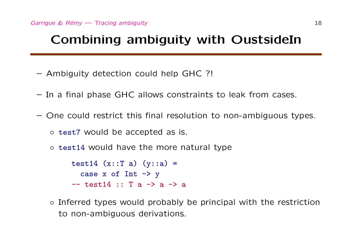## **Combining ambiguity with OustsideIn**

- Ambiguity detection could help GHC ?!
- In a final phase GHC allows constraints to leak from cases.
- One could restrict this final resolution to non-ambiguous types.

```
◦ test7 would be accepted as is.
```
*◦* test14 would have the more natural type

```
test14 (x::T a) (y::a) =
  case x of Int \rightarrow y
- test14 :: T a - a - a
```
*◦* Inferred types would probably be principal with the restriction to non-ambiguous derivations.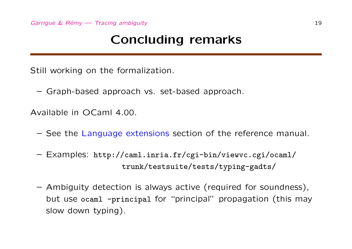## **Concluding remarks**

Still working on the formalization.

– Graph-based approach vs. set-based approach.

Available in OCaml 4.00.

- See the Language extensions section of the reference manual.
- Examples: http://caml.inria.fr/cgi-bin/viewvc.cgi/ocaml/ trunk/testsuite/tests/typing-gadts/
- Ambiguity detection is always active (required for soundness), but use ocaml -principal for "principal" propagation (this may slow down typing).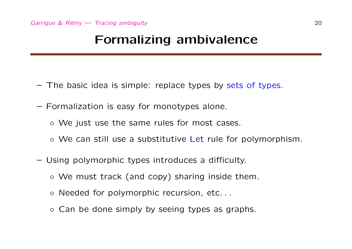#### **Formalizing ambivalence**

- The basic idea is simple: replace types by sets of types.
- Formalization is easy for monotypes alone.
	- *◦* We just use the same rules for most cases.
	- *◦* We can still use a substitutive Let rule for polymorphism.
- Using polymorphic types introduces a difficulty.
	- *◦* We must track (and copy) sharing inside them.
	- *◦* Needed for polymorphic recursion, etc. . .
	- *◦* Can be done simply by seeing types as graphs.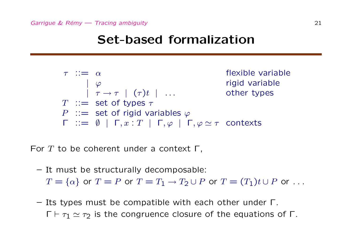#### **Set-based formalization**

$$
\begin{array}{ll}\n\tau & ::= & \alpha & \text{flexible variable} \\
 & | & \varphi & \text{rigid variable} \\
T & ::= & \text{set of types } \tau \\
P & ::= & \text{set of rigid variables } \varphi \\
\Gamma & ::= & \emptyset & | \Gamma, x : T | \Gamma, \varphi | \Gamma, \varphi \simeq \tau \text{ contexts}\n\end{array}
$$

For *T* to be coherent under a context Γ,

- It must be structurally decomposable:  $T = \{\alpha\}$  or  $T = P$  or  $T = T_1 \rightarrow T_2 \cup P$  or  $T = (T_1)t \cup P$  or ...
- Its types must be compatible with each other under Γ.  $\Gamma \vdash \tau_1 \simeq \tau_2$  is the congruence closure of the equations of Γ.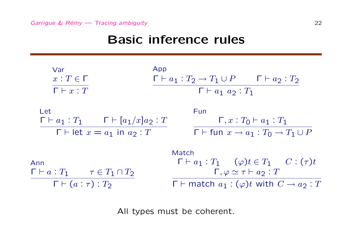#### **Basic inference rules**

| Var                                                                                             | App                                                                                                                                                                                                    |
|-------------------------------------------------------------------------------------------------|--------------------------------------------------------------------------------------------------------------------------------------------------------------------------------------------------------|
| $x: T \in \Gamma$                                                                               | $\Gamma \vdash a_1 : T_2 \rightarrow T_1 \cup P$ $\Gamma \vdash a_2 : T_2$                                                                                                                             |
| $\Gamma \vdash x : T$                                                                           | $\Gamma \vdash a_1 \ a_2 : T_1$                                                                                                                                                                        |
| Let                                                                                             | Fun                                                                                                                                                                                                    |
| $\Gamma \vdash a_1 : T_1 \qquad \Gamma \vdash [a_1/x]a_2 : T$                                   | $\Gamma, x : T_0 \vdash a_1 : T_1$                                                                                                                                                                     |
| $\Gamma \vdash$ let $x = a_1$ in $a_2 : T$                                                      | $\Gamma$ $\vdash$ fun $x \rightarrow a_1 : T_0 \rightarrow T_1 \cup P$                                                                                                                                 |
| Ann<br>$\Gamma \vdash a : T_1 \qquad \tau \in T_1 \cap T_2$<br>$\Gamma \vdash (a : \tau) : T_2$ | Match<br>$\Gamma \vdash a_1 : T_1 \quad (\varphi)t \in T_1 \quad C : (\tau)t$<br>$\Gamma, \varphi \simeq \tau \vdash a_2 : T$<br>$\Gamma \vdash$ match $a_1 : (\varphi)t$ with $C \rightarrow a_2 : T$ |

All types must be coherent.